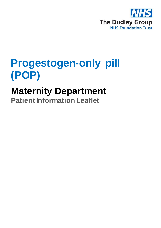

# **Progestogen-only pill (POP)**

# **Maternity Department**

**Patient Information Leaflet**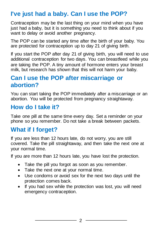# **I've just had a baby. Can I use the POP?**

Contraception may be the last thing on your mind when you have just had a baby, but it is something you need to think about if you want to delay or avoid another pregnancy.

The POP can be started any time after the birth of your baby. You are protected for contraception up to day 21 of giving birth.

If you start the POP after day 21 of giving birth, you will need to use additional contraception for two days. You can breastfeed while you are taking the POP. A tiny amount of hormone enters your breast milk, but research has shown that this will not harm your baby.

## **Can I use the POP after miscarriage or abortion?**

You can start taking the POP immediately after a miscarriage or an abortion. You will be protected from pregnancy straightaway.

## **How do I take it?**

Take one pill at the same time every day. Set a reminder on your phone so you remember. Do not take a break between packets.

## **What if I forget?**

If you are less than 12 hours late, do not worry, you are still covered. Take the pill straightaway, and then take the next one at your normal time.

If you are more than 12 hours late, you have lost the protection.

- Take the pill you forgot as soon as you remember.
- Take the next one at your normal time.
- Use condoms or avoid sex for the next two days until the protection comes back.
- If you had sex while the protection was lost, you will need emergency contraception.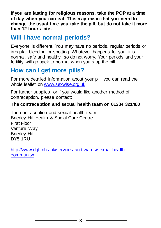**If you are fasting for religious reasons, take the POP at a time of day when you can eat. This may mean that you need to change the usual time you take the pill, but do not take it more than 12 hours late.**

### **Will I have normal periods?**

Everyone is different. You may have no periods, regular periods or irregular bleeding or spotting. Whatever happens for you, it is normal, safe and healthy, so do not worry. Your periods and your fertility will go back to normal when you stop the pill.

## **How can I get more pills?**

For more detailed information about your pill, you can read the whole leaflet on [www.sexwise.org.uk](http://www.sexwise.org.uk/)

For further supplies, or if you would like another method of contraception, please contact:

#### **The contraception and sexual health team on 01384 321480**

The contraception and sexual health team Brierley Hill Health & Social Care Centre First Floor Venture Way Brierley Hill DY5 1RU

[http://www.dgft.nhs.uk/services-and-wards/sexual-health](http://www.dgft.nhs.uk/services-and-wards/sexual-health-community/)[community/](http://www.dgft.nhs.uk/services-and-wards/sexual-health-community/)